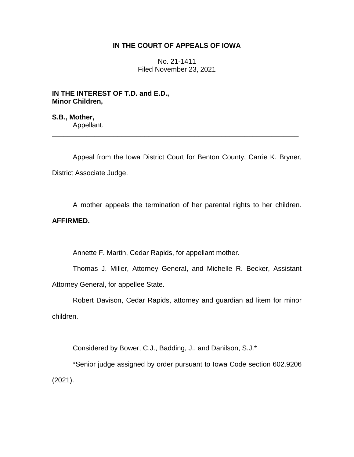# **IN THE COURT OF APPEALS OF IOWA**

No. 21-1411 Filed November 23, 2021

**IN THE INTEREST OF T.D. and E.D., Minor Children,**

**S.B., Mother,** Appellant.

Appeal from the Iowa District Court for Benton County, Carrie K. Bryner, District Associate Judge.

\_\_\_\_\_\_\_\_\_\_\_\_\_\_\_\_\_\_\_\_\_\_\_\_\_\_\_\_\_\_\_\_\_\_\_\_\_\_\_\_\_\_\_\_\_\_\_\_\_\_\_\_\_\_\_\_\_\_\_\_\_\_\_\_

A mother appeals the termination of her parental rights to her children.

# **AFFIRMED.**

Annette F. Martin, Cedar Rapids, for appellant mother.

Thomas J. Miller, Attorney General, and Michelle R. Becker, Assistant Attorney General, for appellee State.

Robert Davison, Cedar Rapids, attorney and guardian ad litem for minor children.

Considered by Bower, C.J., Badding, J., and Danilson, S.J.\*

\*Senior judge assigned by order pursuant to Iowa Code section 602.9206 (2021).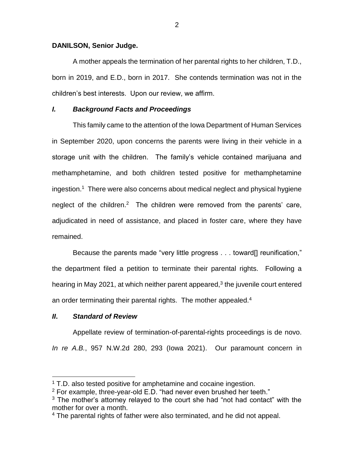#### **DANILSON, Senior Judge.**

A mother appeals the termination of her parental rights to her children, T.D., born in 2019, and E.D., born in 2017. She contends termination was not in the children's best interests. Upon our review, we affirm.

## *I. Background Facts and Proceedings*

This family came to the attention of the Iowa Department of Human Services in September 2020, upon concerns the parents were living in their vehicle in a storage unit with the children. The family's vehicle contained marijuana and methamphetamine, and both children tested positive for methamphetamine ingestion.<sup>1</sup> There were also concerns about medical neglect and physical hygiene neglect of the children.<sup>2</sup> The children were removed from the parents' care, adjudicated in need of assistance, and placed in foster care, where they have remained.

Because the parents made "very little progress . . . toward[] reunification," the department filed a petition to terminate their parental rights. Following a hearing in May 2021, at which neither parent appeared, $3$  the juvenile court entered an order terminating their parental rights. The mother appealed.<sup>4</sup>

## *II***.** *Standard of Review*

 $\overline{a}$ 

Appellate review of termination-of-parental-rights proceedings is de novo. *In re A.B.*, 957 N.W.2d 280, 293 (Iowa 2021). Our paramount concern in

<sup>&</sup>lt;sup>1</sup> T.D. also tested positive for amphetamine and cocaine ingestion.

 $2$  For example, three-year-old E.D. "had never even brushed her teeth."

 $3$  The mother's attorney relayed to the court she had "not had contact" with the mother for over a month.

<sup>4</sup> The parental rights of father were also terminated, and he did not appeal.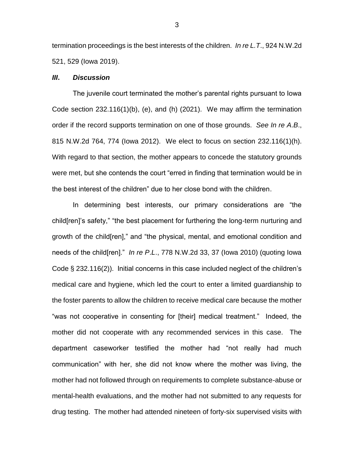termination proceedings is the best interests of the children. *In re L.T*., 924 N.W.2d 521, 529 (Iowa 2019).

#### *III***.** *Discussion*

The juvenile court terminated the mother's parental rights pursuant to Iowa Code section 232.116(1)(b), (e), and (h) (2021). We may affirm the termination order if the record supports termination on one of those grounds. *See In re A*.*B*., 815 N.W.2d 764, 774 (Iowa 2012). We elect to focus on section 232.116(1)(h). With regard to that section, the mother appears to concede the statutory grounds were met, but she contends the court "erred in finding that termination would be in the best interest of the children" due to her close bond with the children.

In determining best interests, our primary considerations are "the child[ren]'s safety," "the best placement for furthering the long-term nurturing and growth of the child[ren]," and "the physical, mental, and emotional condition and needs of the child[ren]." *In re P*.*L*., 778 N.W.2d 33, 37 (Iowa 2010) (quoting Iowa Code § 232.116(2)). Initial concerns in this case included neglect of the children's medical care and hygiene, which led the court to enter a limited guardianship to the foster parents to allow the children to receive medical care because the mother "was not cooperative in consenting for [their] medical treatment." Indeed, the mother did not cooperate with any recommended services in this case. The department caseworker testified the mother had "not really had much communication" with her, she did not know where the mother was living, the mother had not followed through on requirements to complete substance-abuse or mental-health evaluations, and the mother had not submitted to any requests for drug testing. The mother had attended nineteen of forty-six supervised visits with